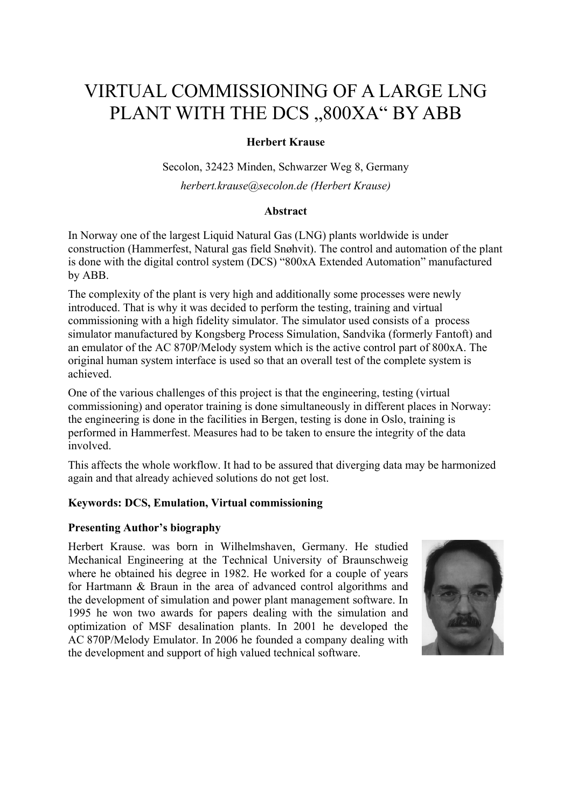# VIRTUAL COMMISSIONING OF A LARGE LNG PLANT WITH THE DCS ,,800XA" BY ABB

# **Herbert Krause**

Secolon, 32423 Minden, Schwarzer Weg 8, Germany *herbert.krause@secolon.de (Herbert Krause)* 

# **Abstract**

In Norway one of the largest Liquid Natural Gas (LNG) plants worldwide is under construction (Hammerfest, Natural gas field Snøhvit). The control and automation of the plant is done with the digital control system (DCS) "800xA Extended Automation" manufactured by ABB.

The complexity of the plant is very high and additionally some processes were newly introduced. That is why it was decided to perform the testing, training and virtual commissioning with a high fidelity simulator. The simulator used consists of a process simulator manufactured by Kongsberg Process Simulation, Sandvika (formerly Fantoft) and an emulator of the AC 870P/Melody system which is the active control part of 800xA. The original human system interface is used so that an overall test of the complete system is achieved.

One of the various challenges of this project is that the engineering, testing (virtual commissioning) and operator training is done simultaneously in different places in Norway: the engineering is done in the facilities in Bergen, testing is done in Oslo, training is performed in Hammerfest. Measures had to be taken to ensure the integrity of the data involved.

This affects the whole workflow. It had to be assured that diverging data may be harmonized again and that already achieved solutions do not get lost.

# **Keywords: DCS, Emulation, Virtual commissioning**

# **Presenting Author's biography**

Herbert Krause. was born in Wilhelmshaven, Germany. He studied Mechanical Engineering at the Technical University of Braunschweig where he obtained his degree in 1982. He worked for a couple of years for Hartmann & Braun in the area of advanced control algorithms and the development of simulation and power plant management software. In 1995 he won two awards for papers dealing with the simulation and optimization of MSF desalination plants. In 2001 he developed the AC 870P/Melody Emulator. In 2006 he founded a company dealing with the development and support of high valued technical software.

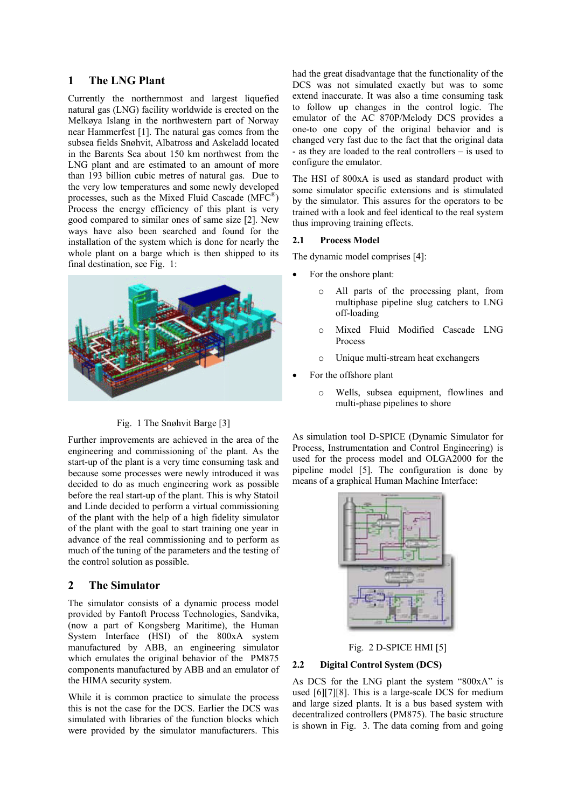## **1 The LNG Plant**

Currently the northernmost and largest liquefied natural gas (LNG) facility worldwide is erected on the Melkøya Islang in the northwestern part of Norway near Hammerfest [1]. The natural gas comes from the subsea fields Snøhvit, Albatross and Askeladd located in the Barents Sea about 150 km northwest from the LNG plant and are estimated to an amount of more than 193 billion cubic metres of natural gas. Due to the very low temperatures and some newly developed processes, such as the Mixed Fluid Cascade (MFC®) Process the energy efficiency of this plant is very good compared to similar ones of same size [2]. New ways have also been searched and found for the installation of the system which is done for nearly the whole plant on a barge which is then shipped to its final destination, see Fig. 1:



#### Fig. 1 The Snøhvit Barge [3]

Further improvements are achieved in the area of the engineering and commissioning of the plant. As the start-up of the plant is a very time consuming task and because some processes were newly introduced it was decided to do as much engineering work as possible before the real start-up of the plant. This is why Statoil and Linde decided to perform a virtual commissioning of the plant with the help of a high fidelity simulator of the plant with the goal to start training one year in advance of the real commissioning and to perform as much of the tuning of the parameters and the testing of the control solution as possible.

## **2 The Simulator**

The simulator consists of a dynamic process model provided by Fantoft Process Technologies, Sandvika, (now a part of Kongsberg Maritime), the Human System Interface (HSI) of the 800xA system manufactured by ABB, an engineering simulator which emulates the original behavior of the PM875 components manufactured by ABB and an emulator of the HIMA security system.

While it is common practice to simulate the process this is not the case for the DCS. Earlier the DCS was simulated with libraries of the function blocks which were provided by the simulator manufacturers. This had the great disadvantage that the functionality of the DCS was not simulated exactly but was to some extend inaccurate. It was also a time consuming task to follow up changes in the control logic. The emulator of the AC 870P/Melody DCS provides a one-to one copy of the original behavior and is changed very fast due to the fact that the original data - as they are loaded to the real controllers – is used to configure the emulator.

The HSI of 800xA is used as standard product with some simulator specific extensions and is stimulated by the simulator. This assures for the operators to be trained with a look and feel identical to the real system thus improving training effects.

#### **2.1 Process Model**

The dynamic model comprises [4]:

- For the onshore plant:
	- o All parts of the processing plant, from multiphase pipeline slug catchers to LNG off-loading
	- o Mixed Fluid Modified Cascade LNG Process
	- o Unique multi-stream heat exchangers
- For the offshore plant
	- o Wells, subsea equipment, flowlines and multi-phase pipelines to shore

As simulation tool D-SPICE (Dynamic Simulator for Process, Instrumentation and Control Engineering) is used for the process model and OLGA2000 for the pipeline model [5]. The configuration is done by means of a graphical Human Machine Interface:



Fig. 2 D-SPICE HMI [5]

## **2.2 Digital Control System (DCS)**

As DCS for the LNG plant the system "800xA" is used [6][7][8]. This is a large-scale DCS for medium and large sized plants. It is a bus based system with decentralized controllers (PM875). The basic structure is shown in Fig. 3. The data coming from and going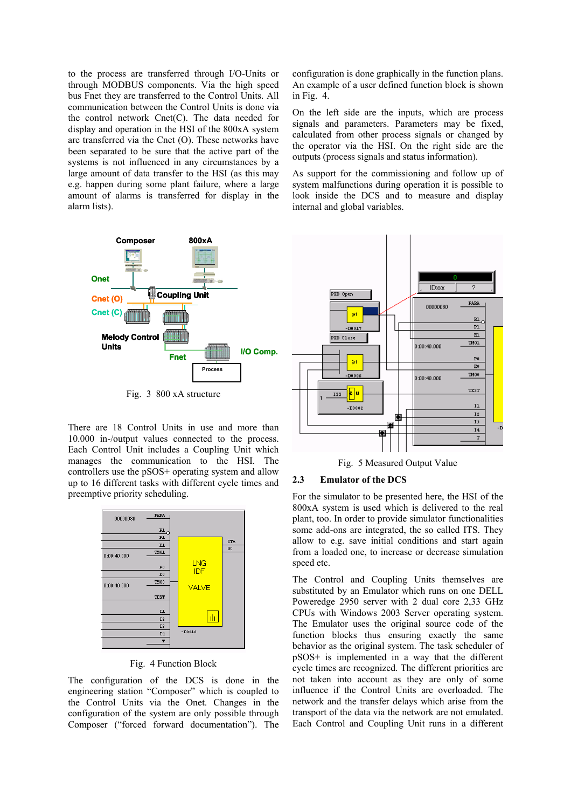to the process are transferred through I/O-Units or through MODBUS components. Via the high speed bus Fnet they are transferred to the Control Units. All communication between the Control Units is done via the control network Cnet(C). The data needed for display and operation in the HSI of the 800xA system are transferred via the Cnet (O). These networks have been separated to be sure that the active part of the systems is not influenced in any circumstances by a large amount of data transfer to the HSI (as this may e.g. happen during some plant failure, where a large amount of alarms is transferred for display in the alarm lists).



Fig. 3 800 xA structure

There are 18 Control Units in use and more than 10.000 in-/output values connected to the process. Each Control Unit includes a Coupling Unit which manages the communication to the HSI. The controllers use the pSOS+ operating system and allow up to 16 different tasks with different cycle times and preemptive priority scheduling.



#### Fig. 4 Function Block

The configuration of the DCS is done in the engineering station "Composer" which is coupled to the Control Units via the Onet. Changes in the configuration of the system are only possible through Composer ("forced forward documentation"). The configuration is done graphically in the function plans. An example of a user defined function block is shown in Fig. 4.

On the left side are the inputs, which are process signals and parameters. Parameters may be fixed, calculated from other process signals or changed by the operator via the HSI. On the right side are the outputs (process signals and status information).

As support for the commissioning and follow up of system malfunctions during operation it is possible to look inside the DCS and to measure and display internal and global variables.



Fig. 5 Measured Output Value

## **2.3 Emulator of the DCS**

For the simulator to be presented here, the HSI of the 800xA system is used which is delivered to the real plant, too. In order to provide simulator functionalities some add-ons are integrated, the so called ITS. They allow to e.g. save initial conditions and start again from a loaded one, to increase or decrease simulation speed etc.

The Control and Coupling Units themselves are substituted by an Emulator which runs on one DELL Poweredge 2950 server with 2 dual core 2,33 GHz CPUs with Windows 2003 Server operating system. The Emulator uses the original source code of the function blocks thus ensuring exactly the same behavior as the original system. The task scheduler of pSOS+ is implemented in a way that the different cycle times are recognized. The different priorities are not taken into account as they are only of some influence if the Control Units are overloaded. The network and the transfer delays which arise from the transport of the data via the network are not emulated. Each Control and Coupling Unit runs in a different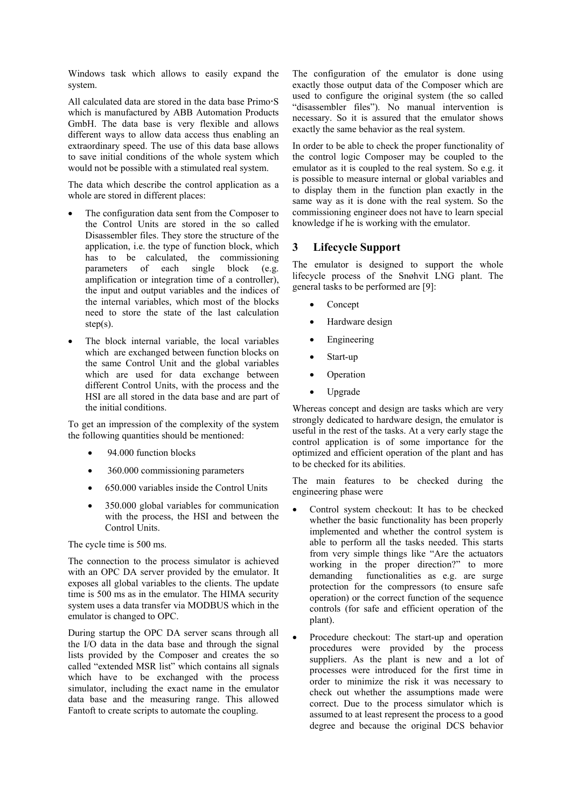Windows task which allows to easily expand the system.

All calculated data are stored in the data base  $Primo-S$ which is manufactured by ABB Automation Products GmbH. The data base is very flexible and allows different ways to allow data access thus enabling an extraordinary speed. The use of this data base allows to save initial conditions of the whole system which would not be possible with a stimulated real system.

The data which describe the control application as a whole are stored in different places:

- The configuration data sent from the Composer to the Control Units are stored in the so called Disassembler files. They store the structure of the application, i.e. the type of function block, which has to be calculated, the commissioning parameters of each single block (e.g. amplification or integration time of a controller), the input and output variables and the indices of the internal variables, which most of the blocks need to store the state of the last calculation  $step(s)$ .
- The block internal variable, the local variables which are exchanged between function blocks on the same Control Unit and the global variables which are used for data exchange between different Control Units, with the process and the HSI are all stored in the data base and are part of the initial conditions.

To get an impression of the complexity of the system the following quantities should be mentioned:

- 94.000 function blocks
- 360.000 commissioning parameters
- 650.000 variables inside the Control Units
- 350.000 global variables for communication with the process, the HSI and between the Control Units.

The cycle time is 500 ms.

The connection to the process simulator is achieved with an OPC DA server provided by the emulator. It exposes all global variables to the clients. The update time is 500 ms as in the emulator. The HIMA security system uses a data transfer via MODBUS which in the emulator is changed to OPC.

During startup the OPC DA server scans through all the I/O data in the data base and through the signal lists provided by the Composer and creates the so called "extended MSR list" which contains all signals which have to be exchanged with the process simulator, including the exact name in the emulator data base and the measuring range. This allowed Fantoft to create scripts to automate the coupling.

The configuration of the emulator is done using exactly those output data of the Composer which are used to configure the original system (the so called "disassembler files"). No manual intervention is necessary. So it is assured that the emulator shows exactly the same behavior as the real system.

In order to be able to check the proper functionality of the control logic Composer may be coupled to the emulator as it is coupled to the real system. So e.g. it is possible to measure internal or global variables and to display them in the function plan exactly in the same way as it is done with the real system. So the commissioning engineer does not have to learn special knowledge if he is working with the emulator.

## **3 Lifecycle Support**

The emulator is designed to support the whole lifecycle process of the Snøhvit LNG plant. The general tasks to be performed are [9]:

- Concept
- Hardware design
- Engineering
- Start-up
- **Operation**
- Upgrade

Whereas concept and design are tasks which are very strongly dedicated to hardware design, the emulator is useful in the rest of the tasks. At a very early stage the control application is of some importance for the optimized and efficient operation of the plant and has to be checked for its abilities.

The main features to be checked during the engineering phase were

- Control system checkout: It has to be checked whether the basic functionality has been properly implemented and whether the control system is able to perform all the tasks needed. This starts from very simple things like "Are the actuators working in the proper direction?" to more demanding functionalities as e.g. are surge protection for the compressors (to ensure safe operation) or the correct function of the sequence controls (for safe and efficient operation of the plant).
- Procedure checkout: The start-up and operation procedures were provided by the process suppliers. As the plant is new and a lot of processes were introduced for the first time in order to minimize the risk it was necessary to check out whether the assumptions made were correct. Due to the process simulator which is assumed to at least represent the process to a good degree and because the original DCS behavior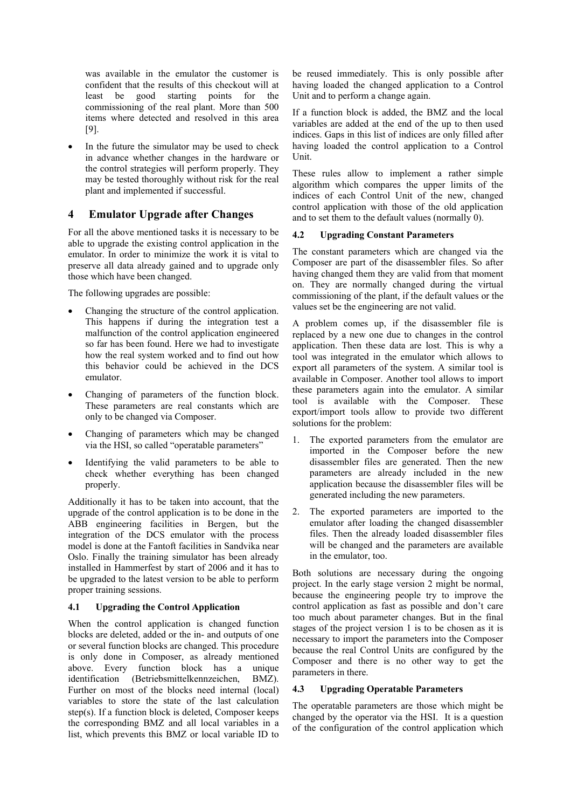was available in the emulator the customer is confident that the results of this checkout will at least be good starting points for the commissioning of the real plant. More than 500 items where detected and resolved in this area [9].

In the future the simulator may be used to check in advance whether changes in the hardware or the control strategies will perform properly. They may be tested thoroughly without risk for the real plant and implemented if successful.

## **4 Emulator Upgrade after Changes**

For all the above mentioned tasks it is necessary to be able to upgrade the existing control application in the emulator. In order to minimize the work it is vital to preserve all data already gained and to upgrade only those which have been changed.

The following upgrades are possible:

- Changing the structure of the control application. This happens if during the integration test a malfunction of the control application engineered so far has been found. Here we had to investigate how the real system worked and to find out how this behavior could be achieved in the DCS emulator.
- Changing of parameters of the function block. These parameters are real constants which are only to be changed via Composer.
- Changing of parameters which may be changed via the HSI, so called "operatable parameters"
- Identifying the valid parameters to be able to check whether everything has been changed properly.

Additionally it has to be taken into account, that the upgrade of the control application is to be done in the ABB engineering facilities in Bergen, but the integration of the DCS emulator with the process model is done at the Fantoft facilities in Sandvika near Oslo. Finally the training simulator has been already installed in Hammerfest by start of 2006 and it has to be upgraded to the latest version to be able to perform proper training sessions.

## **4.1 Upgrading the Control Application**

When the control application is changed function blocks are deleted, added or the in- and outputs of one or several function blocks are changed. This procedure is only done in Composer, as already mentioned above. Every function block has a unique identification (Betriebsmittelkennzeichen, BMZ). Further on most of the blocks need internal (local) variables to store the state of the last calculation step(s). If a function block is deleted, Composer keeps the corresponding BMZ and all local variables in a list, which prevents this BMZ or local variable ID to

be reused immediately. This is only possible after having loaded the changed application to a Control Unit and to perform a change again.

If a function block is added, the BMZ and the local variables are added at the end of the up to then used indices. Gaps in this list of indices are only filled after having loaded the control application to a Control Unit.

These rules allow to implement a rather simple algorithm which compares the upper limits of the indices of each Control Unit of the new, changed control application with those of the old application and to set them to the default values (normally 0).

## **4.2 Upgrading Constant Parameters**

The constant parameters which are changed via the Composer are part of the disassembler files. So after having changed them they are valid from that moment on. They are normally changed during the virtual commissioning of the plant, if the default values or the values set be the engineering are not valid.

A problem comes up, if the disassembler file is replaced by a new one due to changes in the control application. Then these data are lost. This is why a tool was integrated in the emulator which allows to export all parameters of the system. A similar tool is available in Composer. Another tool allows to import these parameters again into the emulator. A similar tool is available with the Composer. These export/import tools allow to provide two different solutions for the problem:

- 1. The exported parameters from the emulator are imported in the Composer before the new disassembler files are generated. Then the new parameters are already included in the new application because the disassembler files will be generated including the new parameters.
- 2. The exported parameters are imported to the emulator after loading the changed disassembler files. Then the already loaded disassembler files will be changed and the parameters are available in the emulator, too.

Both solutions are necessary during the ongoing project. In the early stage version 2 might be normal, because the engineering people try to improve the control application as fast as possible and don't care too much about parameter changes. But in the final stages of the project version 1 is to be chosen as it is necessary to import the parameters into the Composer because the real Control Units are configured by the Composer and there is no other way to get the parameters in there.

## **4.3 Upgrading Operatable Parameters**

The operatable parameters are those which might be changed by the operator via the HSI. It is a question of the configuration of the control application which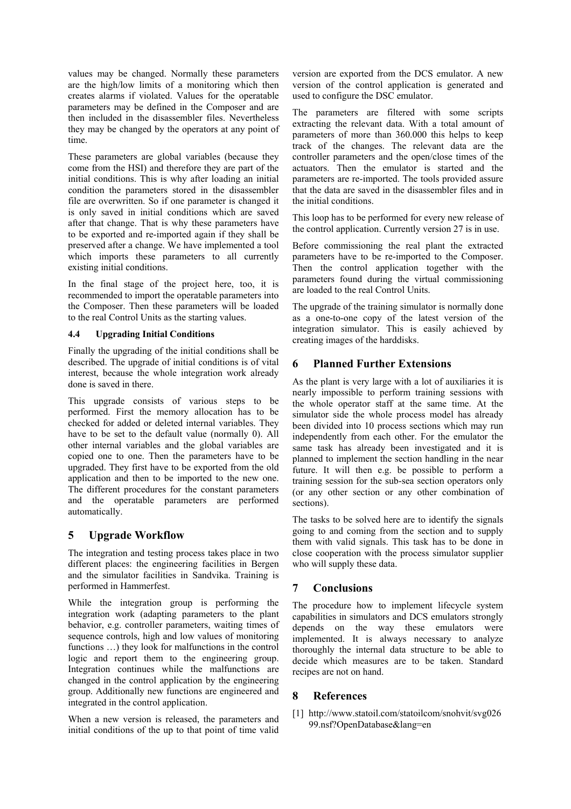values may be changed. Normally these parameters are the high/low limits of a monitoring which then creates alarms if violated. Values for the operatable parameters may be defined in the Composer and are then included in the disassembler files. Nevertheless they may be changed by the operators at any point of time.

These parameters are global variables (because they come from the HSI) and therefore they are part of the initial conditions. This is why after loading an initial condition the parameters stored in the disassembler file are overwritten. So if one parameter is changed it is only saved in initial conditions which are saved after that change. That is why these parameters have to be exported and re-imported again if they shall be preserved after a change. We have implemented a tool which imports these parameters to all currently existing initial conditions.

In the final stage of the project here, too, it is recommended to import the operatable parameters into the Composer. Then these parameters will be loaded to the real Control Units as the starting values.

#### **4.4 Upgrading Initial Conditions**

Finally the upgrading of the initial conditions shall be described. The upgrade of initial conditions is of vital interest, because the whole integration work already done is saved in there.

This upgrade consists of various steps to be performed. First the memory allocation has to be checked for added or deleted internal variables. They have to be set to the default value (normally 0). All other internal variables and the global variables are copied one to one. Then the parameters have to be upgraded. They first have to be exported from the old application and then to be imported to the new one. The different procedures for the constant parameters and the operatable parameters are performed automatically.

# **5 Upgrade Workflow**

The integration and testing process takes place in two different places: the engineering facilities in Bergen and the simulator facilities in Sandvika. Training is performed in Hammerfest.

While the integration group is performing the integration work (adapting parameters to the plant behavior, e.g. controller parameters, waiting times of sequence controls, high and low values of monitoring functions …) they look for malfunctions in the control logic and report them to the engineering group. Integration continues while the malfunctions are changed in the control application by the engineering group. Additionally new functions are engineered and integrated in the control application.

When a new version is released, the parameters and initial conditions of the up to that point of time valid

version are exported from the DCS emulator. A new version of the control application is generated and used to configure the DSC emulator.

The parameters are filtered with some scripts extracting the relevant data. With a total amount of parameters of more than 360.000 this helps to keep track of the changes. The relevant data are the controller parameters and the open/close times of the actuators. Then the emulator is started and the parameters are re-imported. The tools provided assure that the data are saved in the disassembler files and in the initial conditions.

This loop has to be performed for every new release of the control application. Currently version 27 is in use.

Before commissioning the real plant the extracted parameters have to be re-imported to the Composer. Then the control application together with the parameters found during the virtual commissioning are loaded to the real Control Units.

The upgrade of the training simulator is normally done as a one-to-one copy of the latest version of the integration simulator. This is easily achieved by creating images of the harddisks.

# **6 Planned Further Extensions**

As the plant is very large with a lot of auxiliaries it is nearly impossible to perform training sessions with the whole operator staff at the same time. At the simulator side the whole process model has already been divided into 10 process sections which may run independently from each other. For the emulator the same task has already been investigated and it is planned to implement the section handling in the near future. It will then e.g. be possible to perform a training session for the sub-sea section operators only (or any other section or any other combination of sections).

The tasks to be solved here are to identify the signals going to and coming from the section and to supply them with valid signals. This task has to be done in close cooperation with the process simulator supplier who will supply these data.

# **7 Conclusions**

The procedure how to implement lifecycle system capabilities in simulators and DCS emulators strongly depends on the way these emulators were implemented. It is always necessary to analyze thoroughly the internal data structure to be able to decide which measures are to be taken. Standard recipes are not on hand.

## **8 References**

[1] http://www.statoil.com/statoilcom/snohvit/svg026 99.nsf?OpenDatabase&lang=en